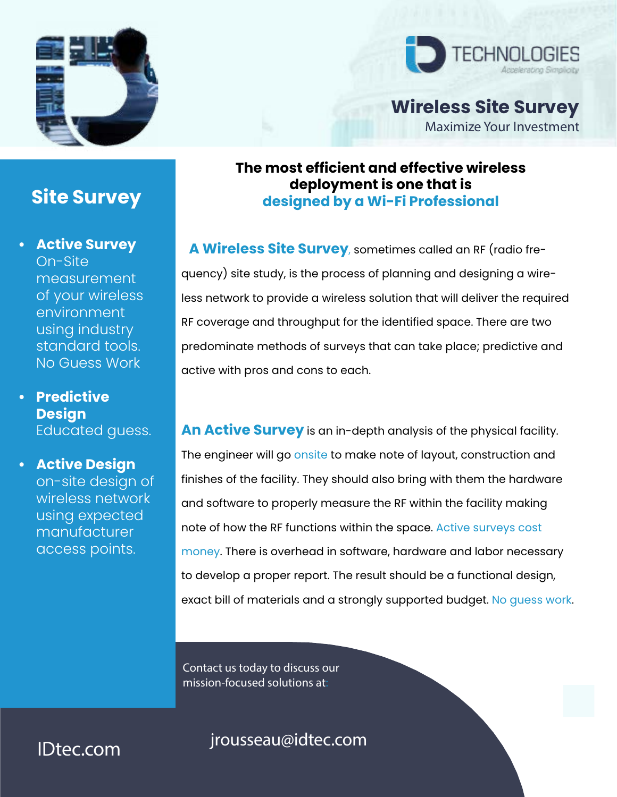



**Wireless Site Survey**

Maximize Your Investment

## **The most efficient and effective wireless deployment is one that is designed by a Wi-Fi Professional**

**A Wireless Site Survey**, sometimes called an RF (radio frequency) site study, is the process of planning and designing a wireless network to provide a wireless solution that will deliver the required RF coverage and throughput for the identified space. There are two predominate methods of surveys that can take place; predictive and active with pros and cons to each.

**An Active Survey** is an in-depth analysis of the physical facility. The engineer will go onsite to make note of layout, construction and finishes of the facility. They should also bring with them the hardware and software to properly measure the RF within the facility making note of how the RF functions within the space. Active surveys cost money. There is overhead in software, hardware and labor necessary to develop a proper report. The result should be a functional design, exact bill of materials and a strongly supported budget. No guess work.

Contact us today to discuss our mission-focused solutions at:

# jrousseau@idtec.com

**Site Survey**

**• Active Survey** On-Site measurement of your wireless environment using industry standard tools. No Guess Work

**• Predictive Design** Educated guess.

**• Active Design** on-site design of wireless network using expected **manufacturer** access points.

IDtec.com